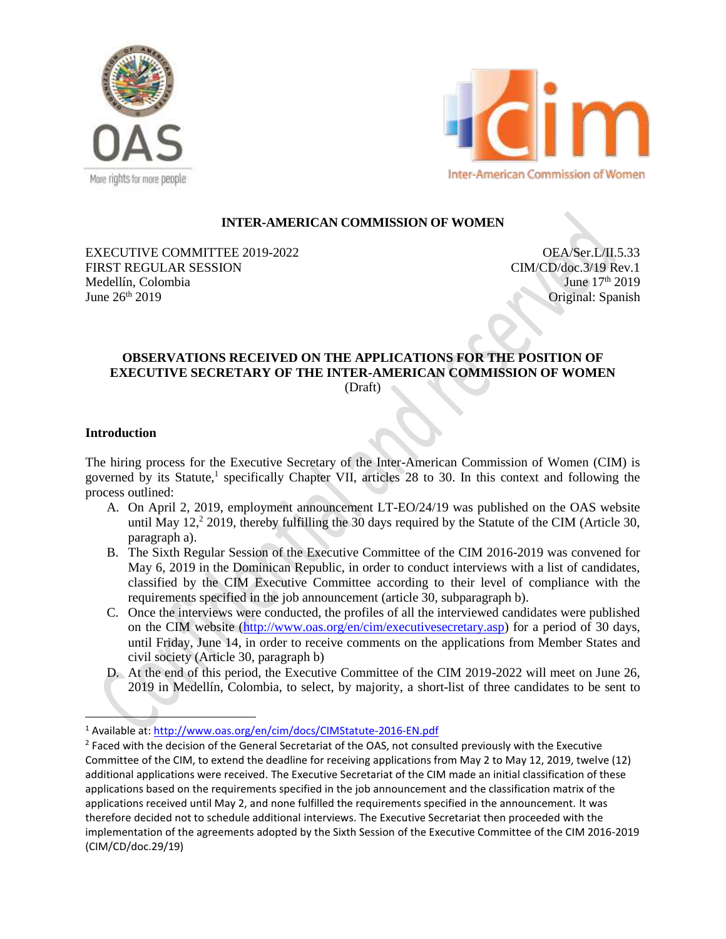



### **INTER-AMERICAN COMMISSION OF WOMEN**

EXECUTIVE COMMITTEE 2019-2022 FIRST REGULAR SESSION Medellín, Colombia June  $26^{th}$  2019

OEA/Ser.L/II.5.33 CIM/CD/doc.3/19 Rev.1 June  $17<sup>th</sup> 2019$ Original: Spanish

# **OBSERVATIONS RECEIVED ON THE APPLICATIONS FOR THE POSITION OF EXECUTIVE SECRETARY OF THE INTER-AMERICAN COMMISSION OF WOMEN**

(Draft)

#### **Introduction**

 $\overline{\phantom{a}}$ 

The hiring process for the Executive Secretary of the Inter-American Commission of Women (CIM) is governed by its Statute,<sup>1</sup> specifically Chapter VII, articles 28 to 30. In this context and following the process outlined:

- A. On April 2, 2019, employment announcement LT-EO/24/19 was published on the OAS website until May  $12<sup>2</sup>$  2019, thereby fulfilling the 30 days required by the Statute of the CIM (Article 30, paragraph a).
- B. The Sixth Regular Session of the Executive Committee of the CIM 2016-2019 was convened for May 6, 2019 in the Dominican Republic, in order to conduct interviews with a list of candidates, classified by the CIM Executive Committee according to their level of compliance with the requirements specified in the job announcement (article 30, subparagraph b).
- C. Once the interviews were conducted, the profiles of all the interviewed candidates were published on the CIM website [\(http://www.oas.org/en/cim/executivesecretary.asp\)](http://www.oas.org/en/cim/executivesecretary.asp) for a period of 30 days, until Friday, June 14, in order to receive comments on the applications from Member States and civil society (Article 30, paragraph b)
- D. At the end of this period, the Executive Committee of the CIM 2019-2022 will meet on June 26, 2019 in Medellín, Colombia, to select, by majority, a short-list of three candidates to be sent to

<sup>1</sup> Available at:<http://www.oas.org/en/cim/docs/CIMStatute-2016-EN.pdf>

 $2$  Faced with the decision of the General Secretariat of the OAS, not consulted previously with the Executive Committee of the CIM, to extend the deadline for receiving applications from May 2 to May 12, 2019, twelve (12) additional applications were received. The Executive Secretariat of the CIM made an initial classification of these applications based on the requirements specified in the job announcement and the classification matrix of the applications received until May 2, and none fulfilled the requirements specified in the announcement. It was therefore decided not to schedule additional interviews. The Executive Secretariat then proceeded with the implementation of the agreements adopted by the Sixth Session of the Executive Committee of the CIM 2016-2019 (CIM/CD/doc.29/19)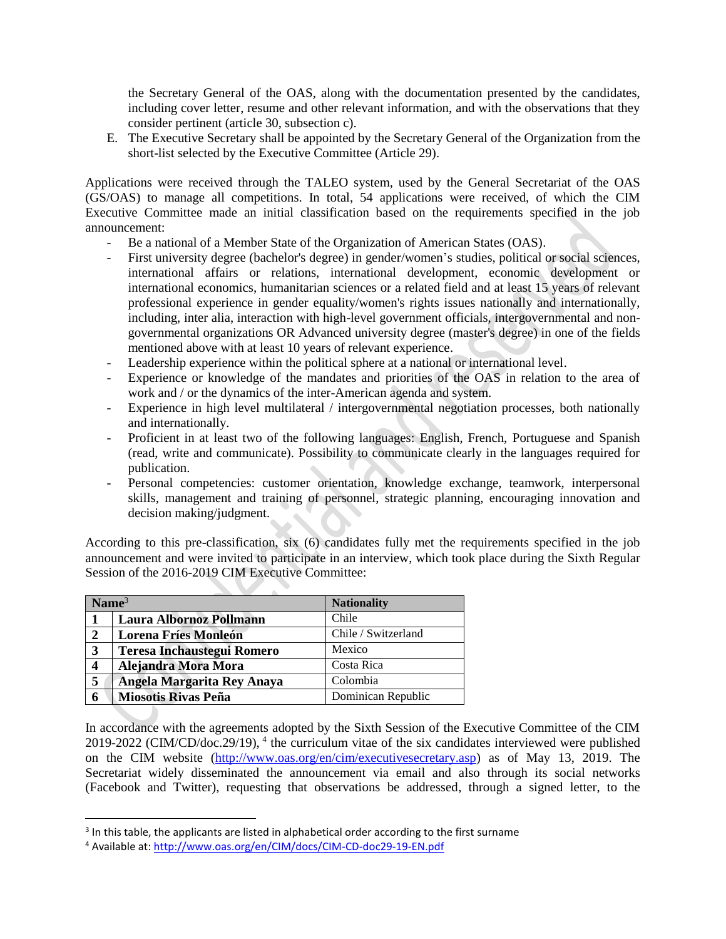the Secretary General of the OAS, along with the documentation presented by the candidates, including cover letter, resume and other relevant information, and with the observations that they consider pertinent (article 30, subsection c).

E. The Executive Secretary shall be appointed by the Secretary General of the Organization from the short-list selected by the Executive Committee (Article 29).

Applications were received through the TALEO system, used by the General Secretariat of the OAS (GS/OAS) to manage all competitions. In total, 54 applications were received, of which the CIM Executive Committee made an initial classification based on the requirements specified in the job announcement:

- Be a national of a Member State of the Organization of American States (OAS).
- First university degree (bachelor's degree) in gender/women's studies, political or social sciences, international affairs or relations, international development, economic development or international economics, humanitarian sciences or a related field and at least 15 years of relevant professional experience in gender equality/women's rights issues nationally and internationally, including, inter alia, interaction with high-level government officials, intergovernmental and nongovernmental organizations OR Advanced university degree (master's degree) in one of the fields mentioned above with at least 10 years of relevant experience.
- Leadership experience within the political sphere at a national or international level.
- Experience or knowledge of the mandates and priorities of the OAS in relation to the area of work and / or the dynamics of the inter-American agenda and system.
- Experience in high level multilateral / intergovernmental negotiation processes, both nationally and internationally.
- Proficient in at least two of the following languages: English, French, Portuguese and Spanish (read, write and communicate). Possibility to communicate clearly in the languages required for publication.
- Personal competencies: customer orientation, knowledge exchange, teamwork, interpersonal skills, management and training of personnel, strategic planning, encouraging innovation and decision making/judgment.

According to this pre-classification, six (6) candidates fully met the requirements specified in the job announcement and were invited to participate in an interview, which took place during the Sixth Regular Session of the 2016-2019 CIM Executive Committee:

|                  | Name $3$                          | <b>Nationality</b>  |
|------------------|-----------------------------------|---------------------|
|                  | Laura Albornoz Pollmann           | Chile               |
| $\mathbf{2}$     | <b>Lorena Fríes Monleón</b>       | Chile / Switzerland |
| 3                | <b>Teresa Inchaustegui Romero</b> | Mexico              |
| $\boldsymbol{4}$ | Alejandra Mora Mora               | Costa Rica          |
| 5                | Angela Margarita Rey Anaya        | Colombia            |
| 6                | <b>Miosotis Rivas Peña</b>        | Dominican Republic  |

In accordance with the agreements adopted by the Sixth Session of the Executive Committee of the CIM  $2019-2022$  (CIM/CD/doc.29/19),  $4$  the curriculum vitae of the six candidates interviewed were published on the CIM website [\(http://www.oas.org/en/cim/executivesecretary.asp\)](http://www.oas.org/en/cim/executivesecretary.asp) as of May 13, 2019. The Secretariat widely disseminated the announcement via email and also through its social networks (Facebook and Twitter), requesting that observations be addressed, through a signed letter, to the

 $\overline{\phantom{a}}$ 

 $3$  In this table, the applicants are listed in alphabetical order according to the first surname

<sup>4</sup> Available at:<http://www.oas.org/en/CIM/docs/CIM-CD-doc29-19-EN.pdf>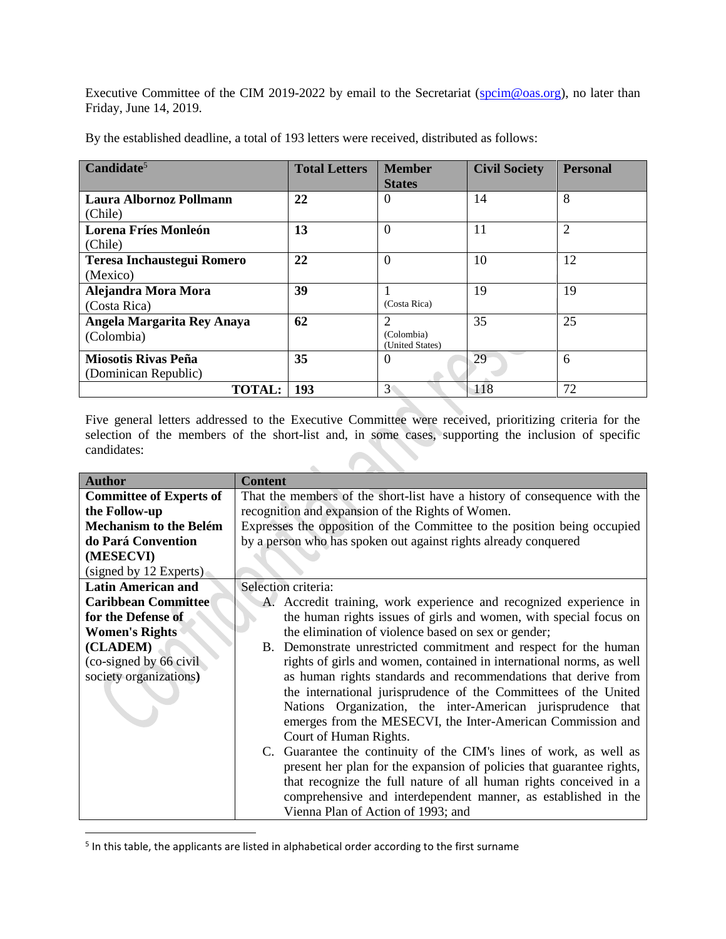Executive Committee of the CIM 2019-2022 by email to the Secretariat [\(spcim@oas.org\)](mailto:spcim@oas.org), no later than Friday, June 14, 2019.

| Candidate <sup>5</sup>            | <b>Total Letters</b> | <b>Member</b>   | <b>Civil Society</b> | <b>Personal</b> |
|-----------------------------------|----------------------|-----------------|----------------------|-----------------|
|                                   |                      | <b>States</b>   |                      |                 |
| Laura Albornoz Pollmann           | 22                   | $\Omega$        | 14                   | 8               |
| (Chile)                           |                      |                 |                      |                 |
| <b>Lorena Fríes Monleón</b>       | 13                   | $\overline{0}$  | 11                   | $\overline{2}$  |
| (Chile)                           |                      |                 |                      |                 |
| <b>Teresa Inchaustegui Romero</b> | 22                   | $\overline{0}$  | 10                   | 12              |
| (Mexico)                          |                      |                 |                      |                 |
| Alejandra Mora Mora               | 39                   |                 | 19                   | 19              |
| (Costa Rica)                      |                      | (Costa Rica)    |                      |                 |
| Angela Margarita Rey Anaya        | 62                   | $\overline{c}$  | 35                   | 25              |
| (Colombia)                        |                      | (Colombia)      |                      |                 |
|                                   |                      | (United States) |                      |                 |
| <b>Miosotis Rivas Peña</b>        | 35                   | $\Omega$        | 29                   | 6               |
| (Dominican Republic)              |                      |                 |                      |                 |
| <b>TOTAL:</b>                     | 193                  | 3               | 118                  | 72              |

By the established deadline, a total of 193 letters were received, distributed as follows:

Five general letters addressed to the Executive Committee were received, prioritizing criteria for the selection of the members of the short-list and, in some cases, supporting the inclusion of specific candidates:

| <b>Author</b>                  | <b>Content</b>                                                            |  |
|--------------------------------|---------------------------------------------------------------------------|--|
| <b>Committee of Experts of</b> | That the members of the short-list have a history of consequence with the |  |
| the Follow-up                  | recognition and expansion of the Rights of Women.                         |  |
| <b>Mechanism to the Belém</b>  | Expresses the opposition of the Committee to the position being occupied  |  |
| do Pará Convention             | by a person who has spoken out against rights already conquered           |  |
| (MESECVI)                      |                                                                           |  |
| (signed by 12 Experts)         |                                                                           |  |
| <b>Latin American and</b>      | Selection criteria:                                                       |  |
| <b>Caribbean Committee</b>     | A. Accredit training, work experience and recognized experience in        |  |
| for the Defense of             | the human rights issues of girls and women, with special focus on         |  |
| <b>Women's Rights</b>          | the elimination of violence based on sex or gender;                       |  |
| (CLADEM)                       | B. Demonstrate unrestricted commitment and respect for the human          |  |
| (co-signed by 66 civil)        | rights of girls and women, contained in international norms, as well      |  |
| society organizations)         | as human rights standards and recommendations that derive from            |  |
|                                | the international jurisprudence of the Committees of the United           |  |
|                                | Nations Organization, the inter-American jurisprudence that               |  |
|                                | emerges from the MESECVI, the Inter-American Commission and               |  |
|                                | Court of Human Rights.                                                    |  |
|                                | C. Guarantee the continuity of the CIM's lines of work, as well as        |  |
|                                | present her plan for the expansion of policies that guarantee rights,     |  |
|                                | that recognize the full nature of all human rights conceived in a         |  |
|                                | comprehensive and interdependent manner, as established in the            |  |
|                                | Vienna Plan of Action of 1993; and                                        |  |

<sup>&</sup>lt;sup>5</sup> In this table, the applicants are listed in alphabetical order according to the first surname

 $\overline{\phantom{a}}$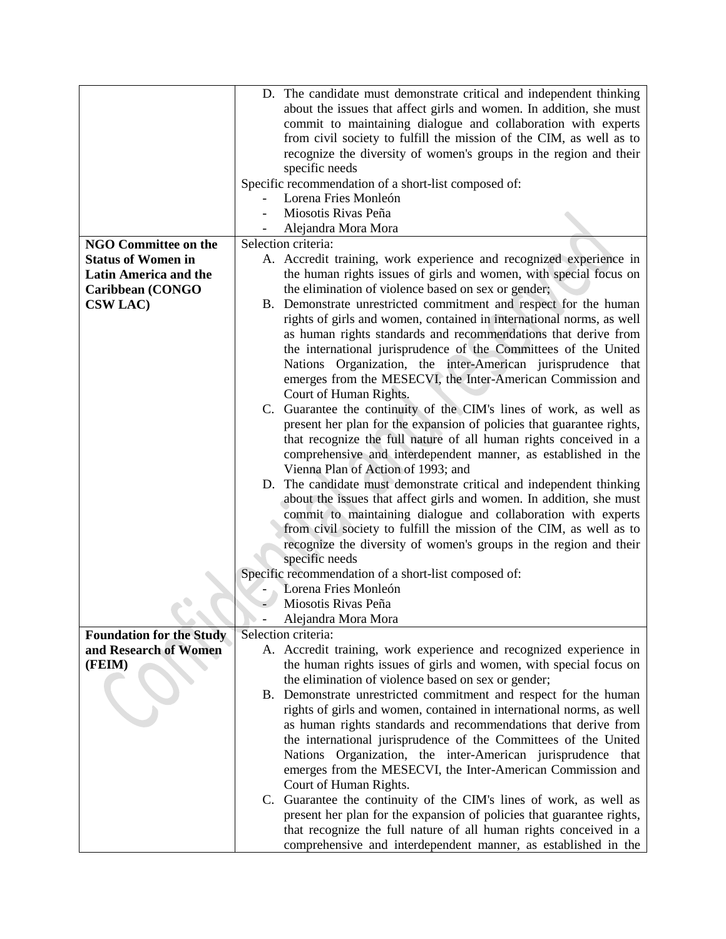|                                                          | D. The candidate must demonstrate critical and independent thinking   |  |  |
|----------------------------------------------------------|-----------------------------------------------------------------------|--|--|
|                                                          | about the issues that affect girls and women. In addition, she must   |  |  |
|                                                          | commit to maintaining dialogue and collaboration with experts         |  |  |
|                                                          | from civil society to fulfill the mission of the CIM, as well as to   |  |  |
|                                                          | recognize the diversity of women's groups in the region and their     |  |  |
|                                                          | specific needs                                                        |  |  |
|                                                          | Specific recommendation of a short-list composed of:                  |  |  |
|                                                          | Lorena Fries Monleón                                                  |  |  |
|                                                          | Miosotis Rivas Peña                                                   |  |  |
|                                                          | Alejandra Mora Mora                                                   |  |  |
| <b>NGO Committee on the</b>                              | Selection criteria:                                                   |  |  |
| <b>Status of Women in</b>                                | A. Accredit training, work experience and recognized experience in    |  |  |
|                                                          |                                                                       |  |  |
| <b>Latin America and the</b>                             | the human rights issues of girls and women, with special focus on     |  |  |
| Caribbean (CONGO                                         | the elimination of violence based on sex or gender;                   |  |  |
| <b>CSW LAC)</b>                                          | B. Demonstrate unrestricted commitment and respect for the human      |  |  |
|                                                          | rights of girls and women, contained in international norms, as well  |  |  |
|                                                          | as human rights standards and recommendations that derive from        |  |  |
|                                                          | the international jurisprudence of the Committees of the United       |  |  |
|                                                          | Nations Organization, the inter-American jurisprudence that           |  |  |
|                                                          | emerges from the MESECVI, the Inter-American Commission and           |  |  |
|                                                          | Court of Human Rights.                                                |  |  |
|                                                          | C. Guarantee the continuity of the CIM's lines of work, as well as    |  |  |
|                                                          | present her plan for the expansion of policies that guarantee rights, |  |  |
|                                                          | that recognize the full nature of all human rights conceived in a     |  |  |
|                                                          | comprehensive and interdependent manner, as established in the        |  |  |
|                                                          | Vienna Plan of Action of 1993; and                                    |  |  |
|                                                          | D. The candidate must demonstrate critical and independent thinking   |  |  |
|                                                          | about the issues that affect girls and women. In addition, she must   |  |  |
|                                                          | commit to maintaining dialogue and collaboration with experts         |  |  |
|                                                          | from civil society to fulfill the mission of the CIM, as well as to   |  |  |
|                                                          | recognize the diversity of women's groups in the region and their     |  |  |
|                                                          | specific needs                                                        |  |  |
|                                                          | Specific recommendation of a short-list composed of:                  |  |  |
|                                                          | Lorena Fries Monleón                                                  |  |  |
|                                                          | Miosotis Rivas Peña                                                   |  |  |
|                                                          | Alejandra Mora Mora                                                   |  |  |
|                                                          | Selection criteria:                                                   |  |  |
| <b>Foundation for the Study</b><br>and Research of Women |                                                                       |  |  |
|                                                          | A. Accredit training, work experience and recognized experience in    |  |  |
| (FEIM)                                                   | the human rights issues of girls and women, with special focus on     |  |  |
|                                                          | the elimination of violence based on sex or gender;                   |  |  |
|                                                          | B. Demonstrate unrestricted commitment and respect for the human      |  |  |
|                                                          | rights of girls and women, contained in international norms, as well  |  |  |
|                                                          | as human rights standards and recommendations that derive from        |  |  |
|                                                          | the international jurisprudence of the Committees of the United       |  |  |
|                                                          | Nations Organization, the inter-American jurisprudence that           |  |  |
|                                                          | emerges from the MESECVI, the Inter-American Commission and           |  |  |
|                                                          | Court of Human Rights.                                                |  |  |
|                                                          | C. Guarantee the continuity of the CIM's lines of work, as well as    |  |  |
|                                                          | present her plan for the expansion of policies that guarantee rights, |  |  |
|                                                          | that recognize the full nature of all human rights conceived in a     |  |  |
|                                                          | comprehensive and interdependent manner, as established in the        |  |  |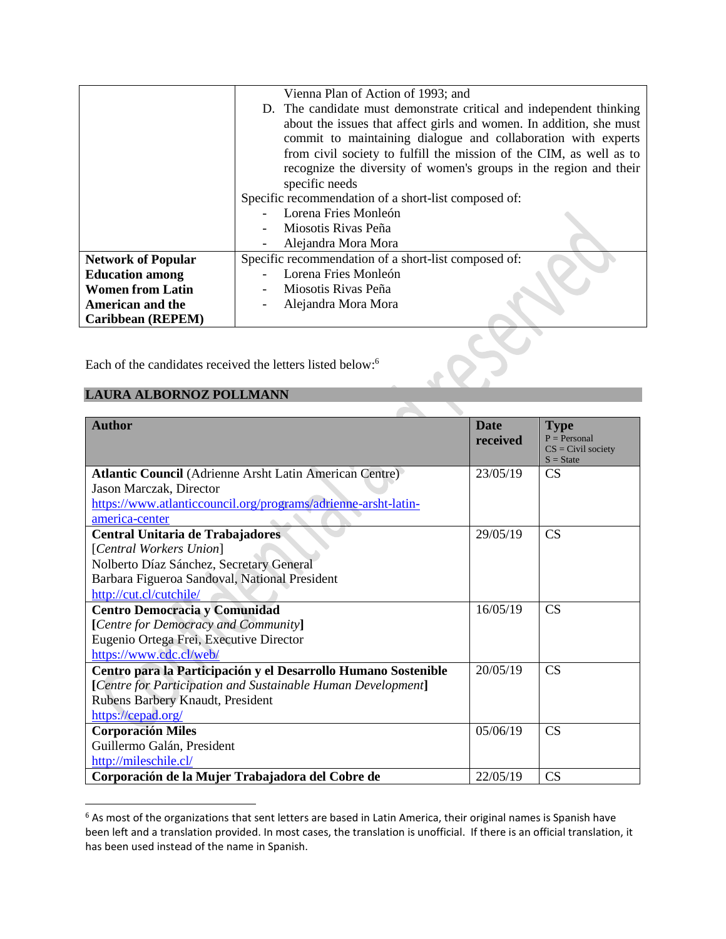|                                                                        | Vienna Plan of Action of 1993; and                                  |  |  |  |
|------------------------------------------------------------------------|---------------------------------------------------------------------|--|--|--|
|                                                                        | D. The candidate must demonstrate critical and independent thinking |  |  |  |
|                                                                        | about the issues that affect girls and women. In addition, she must |  |  |  |
|                                                                        | commit to maintaining dialogue and collaboration with experts       |  |  |  |
|                                                                        | from civil society to fulfill the mission of the CIM, as well as to |  |  |  |
|                                                                        | recognize the diversity of women's groups in the region and their   |  |  |  |
|                                                                        | specific needs                                                      |  |  |  |
|                                                                        | Specific recommendation of a short-list composed of:                |  |  |  |
| Lorena Fries Monleón                                                   |                                                                     |  |  |  |
| Miosotis Rivas Peña                                                    |                                                                     |  |  |  |
|                                                                        | Alejandra Mora Mora                                                 |  |  |  |
| <b>Network of Popular</b>                                              | Specific recommendation of a short-list composed of:                |  |  |  |
| <b>Education among</b>                                                 | Lorena Fries Monleón                                                |  |  |  |
| <b>Women from Latin</b>                                                | Miosotis Rivas Peña                                                 |  |  |  |
| <b>American and the</b>                                                | Alejandra Mora Mora                                                 |  |  |  |
| Caribbean (REPEM)                                                      |                                                                     |  |  |  |
|                                                                        |                                                                     |  |  |  |
|                                                                        |                                                                     |  |  |  |
| Each of the candidates received the letters listed below: <sup>6</sup> |                                                                     |  |  |  |
|                                                                        |                                                                     |  |  |  |
| LAURA ALBORNOZ POLLMANN                                                |                                                                     |  |  |  |

### **LAURA ALBORNOZ POLLMANN**

 $\overline{a}$ 

| <b>Author</b>                                                  | <b>Date</b><br>received | <b>Type</b><br>$P = Personal$<br>$CS = Civil$ society<br>$S = State$ |
|----------------------------------------------------------------|-------------------------|----------------------------------------------------------------------|
| <b>Atlantic Council</b> (Adrienne Arsht Latin American Centre) | 23/05/19                | CS                                                                   |
| Jason Marczak, Director                                        |                         |                                                                      |
| https://www.atlanticcouncil.org/programs/adrienne-arsht-latin- |                         |                                                                      |
| america-center                                                 |                         |                                                                      |
| Central Unitaria de Trabajadores                               | 29/05/19                | CS                                                                   |
| [Central Workers Union]                                        |                         |                                                                      |
| Nolberto Díaz Sánchez, Secretary General                       |                         |                                                                      |
| Barbara Figueroa Sandoval, National President                  |                         |                                                                      |
| http://cut.cl/cutchile/                                        |                         |                                                                      |
| <b>Centro Democracia y Comunidad</b>                           | 16/05/19                | CS                                                                   |
| [Centre for Democracy and Community]                           |                         |                                                                      |
| Eugenio Ortega Frei, Executive Director                        |                         |                                                                      |
| https://www.cdc.cl/web/                                        |                         |                                                                      |
| Centro para la Participación y el Desarrollo Humano Sostenible | 20/05/19                | CS                                                                   |
| [Centre for Participation and Sustainable Human Development]   |                         |                                                                      |
| Rubens Barbery Knaudt, President                               |                         |                                                                      |
| https://cepad.org/                                             |                         |                                                                      |
| <b>Corporación Miles</b>                                       | 05/06/19                | CS                                                                   |
| Guillermo Galán, President                                     |                         |                                                                      |
| http://mileschile.cl/                                          |                         |                                                                      |
| Corporación de la Mujer Trabajadora del Cobre de               | 22/05/19                | CS                                                                   |

 $^6$  As most of the organizations that sent letters are based in Latin America, their original names is Spanish have been left and a translation provided. In most cases, the translation is unofficial. If there is an official translation, it has been used instead of the name in Spanish.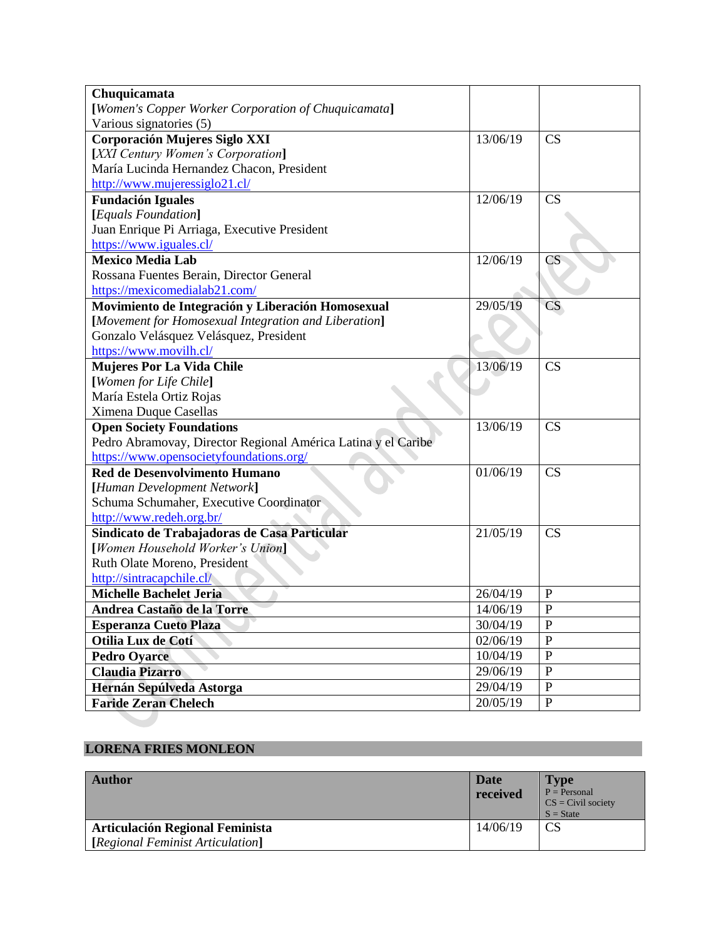| Chuquicamata                                                  |          |                        |
|---------------------------------------------------------------|----------|------------------------|
| [Women's Copper Worker Corporation of Chuquicamata]           |          |                        |
| Various signatories (5)                                       |          |                        |
| Corporación Mujeres Siglo XXI                                 | 13/06/19 | CS                     |
| [XXI Century Women's Corporation]                             |          |                        |
| María Lucinda Hernandez Chacon, President                     |          |                        |
| http://www.mujeressiglo21.cl/                                 |          |                        |
| <b>Fundación Iguales</b>                                      | 12/06/19 | CS                     |
| [Equals Foundation]                                           |          |                        |
| Juan Enrique Pi Arriaga, Executive President                  |          |                        |
| https://www.iguales.cl/                                       |          |                        |
| <b>Mexico Media Lab</b>                                       | 12/06/19 | $\overline{\text{CS}}$ |
| Rossana Fuentes Berain, Director General                      |          |                        |
| https://mexicomedialab21.com/                                 |          |                        |
| Movimiento de Integración y Liberación Homosexual             | 29/05/19 | CS                     |
| [Movement for Homosexual Integration and Liberation]          |          |                        |
| Gonzalo Velásquez Velásquez, President                        |          |                        |
| https://www.movilh.cl/                                        |          |                        |
| <b>Mujeres Por La Vida Chile</b>                              | 13/06/19 | CS                     |
| [Women for Life Chile]                                        |          |                        |
| María Estela Ortiz Rojas                                      |          |                        |
| Ximena Duque Casellas                                         |          |                        |
| <b>Open Society Foundations</b>                               | 13/06/19 | CS                     |
| Pedro Abramovay, Director Regional América Latina y el Caribe |          |                        |
| https://www.opensocietyfoundations.org/                       |          |                        |
| <b>Red de Desenvolvimento Humano</b>                          | 01/06/19 | CS                     |
| [Human Development Network]                                   |          |                        |
| Schuma Schumaher, Executive Coordinator                       |          |                        |
| http://www.redeh.org.br/                                      |          |                        |
| Sindicato de Trabajadoras de Casa Particular                  | 21/05/19 | <b>CS</b>              |
| [Women Household Worker's Union]                              |          |                        |
| Ruth Olate Moreno, President                                  |          |                        |
| http://sintracapchile.cl/                                     |          |                        |
| <b>Michelle Bachelet Jeria</b>                                | 26/04/19 | $\mathbf{P}$           |
| Andrea Castaño de la Torre                                    | 14/06/19 | $\mathbf{P}$           |
| <b>Esperanza Cueto Plaza</b>                                  | 30/04/19 | $\mathbf P$            |
| Otilia Lux de Cotí                                            | 02/06/19 | ${\bf P}$              |
| <b>Pedro Oyarce</b>                                           | 10/04/19 | ${\bf P}$              |
| <b>Claudia Pizarro</b>                                        | 29/06/19 | $\mathbf{P}$           |
| Hernán Sepúlveda Astorga                                      | 29/04/19 | ${\bf P}$              |
| <b>Faride Zeran Chelech</b>                                   | 20/05/19 | ${\bf P}$              |
|                                                               |          |                        |

# **LORENA FRIES MONLEON**

| <b>Author</b>                                                              | Date<br>received | <b>Type</b><br>$P =$ Personal<br>$CS = Civil$ society<br>$S = State$ |
|----------------------------------------------------------------------------|------------------|----------------------------------------------------------------------|
| <b>Articulación Regional Feminista</b><br>[Regional Feminist Articulation] | 14/06/19         | <b>CS</b>                                                            |
|                                                                            |                  |                                                                      |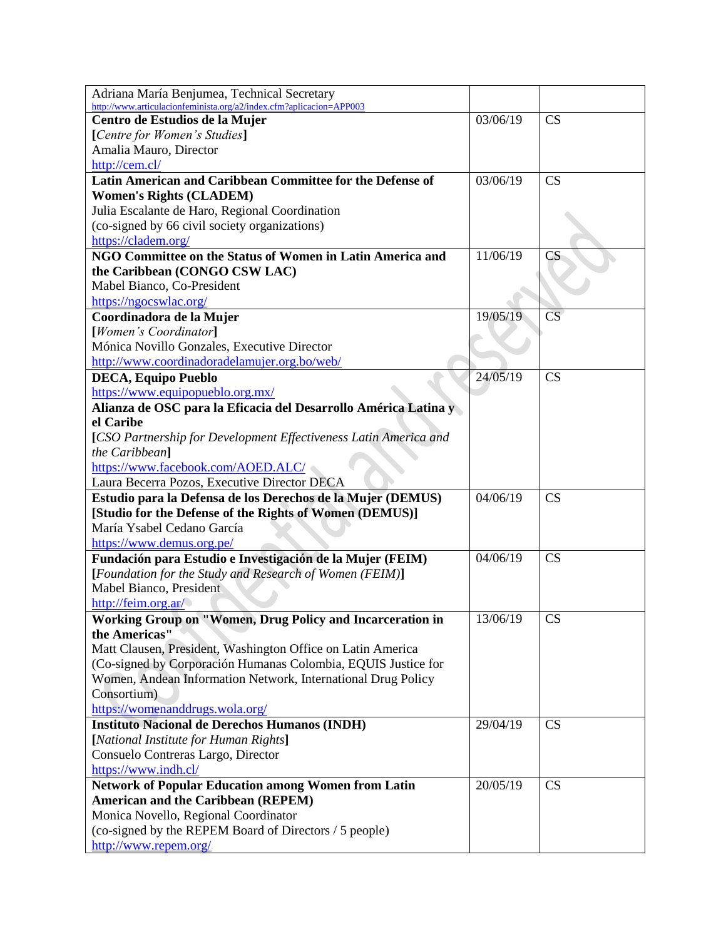| Adriana María Benjumea, Technical Secretary                         |          |                        |
|---------------------------------------------------------------------|----------|------------------------|
| http://www.articulacionfeminista.org/a2/index.cfm?aplicacion=APP003 |          |                        |
| Centro de Estudios de la Mujer                                      | 03/06/19 | CS                     |
| [Centre for Women's Studies]                                        |          |                        |
| Amalia Mauro, Director                                              |          |                        |
| http://cem.cl/                                                      |          |                        |
| Latin American and Caribbean Committee for the Defense of           | 03/06/19 | CS                     |
| <b>Women's Rights (CLADEM)</b>                                      |          |                        |
| Julia Escalante de Haro, Regional Coordination                      |          |                        |
| (co-signed by 66 civil society organizations)                       |          |                        |
| https://cladem.org/                                                 |          |                        |
| NGO Committee on the Status of Women in Latin America and           | 11/06/19 | CS                     |
| the Caribbean (CONGO CSW LAC)                                       |          |                        |
| Mabel Bianco, Co-President                                          |          |                        |
| https://ngocswlac.org/                                              |          |                        |
| Coordinadora de la Mujer                                            | 19/05/19 | $\overline{\text{CS}}$ |
| [Women's Coordinator]                                               |          |                        |
| Mónica Novillo Gonzales, Executive Director                         |          |                        |
| http://www.coordinadoradelamujer.org.bo/web/                        |          |                        |
| <b>DECA, Equipo Pueblo</b>                                          | 24/05/19 | CS                     |
| https://www.equipopueblo.org.mx/                                    |          |                        |
| Alianza de OSC para la Eficacia del Desarrollo América Latina y     |          |                        |
| el Caribe                                                           |          |                        |
| [CSO Partnership for Development Effectiveness Latin America and    |          |                        |
| the Caribbean]                                                      |          |                        |
| https://www.facebook.com/AOED.ALC/                                  |          |                        |
| Laura Becerra Pozos, Executive Director DECA                        |          |                        |
| Estudio para la Defensa de los Derechos de la Mujer (DEMUS)         | 04/06/19 | CS                     |
| [Studio for the Defense of the Rights of Women (DEMUS)]             |          |                        |
| María Ysabel Cedano García                                          |          |                        |
|                                                                     |          |                        |
| https://www.demus.org.pe/                                           |          |                        |
| Fundación para Estudio e Investigación de la Mujer (FEIM)           | 04/06/19 | CS                     |
| [Foundation for the Study and Research of Women (FEIM)]             |          |                        |
| Mabel Bianco, President                                             |          |                        |
| http://feim.org.ar/                                                 |          |                        |
| Working Group on "Women, Drug Policy and Incarceration in           | 13/06/19 | <b>CS</b>              |
| the Americas"                                                       |          |                        |
| Matt Clausen, President, Washington Office on Latin America         |          |                        |
| (Co-signed by Corporación Humanas Colombia, EQUIS Justice for       |          |                        |
| Women, Andean Information Network, International Drug Policy        |          |                        |
| Consortium)                                                         |          |                        |
| https://womenanddrugs.wola.org/                                     |          |                        |
| <b>Instituto Nacional de Derechos Humanos (INDH)</b>                | 29/04/19 | CS                     |
| [National Institute for Human Rights]                               |          |                        |
| Consuelo Contreras Largo, Director                                  |          |                        |
| https://www.indh.cl/                                                |          |                        |
| <b>Network of Popular Education among Women from Latin</b>          | 20/05/19 | <b>CS</b>              |
| <b>American and the Caribbean (REPEM)</b>                           |          |                        |
| Monica Novello, Regional Coordinator                                |          |                        |
| (co-signed by the REPEM Board of Directors / 5 people)              |          |                        |
| http://www.repem.org/                                               |          |                        |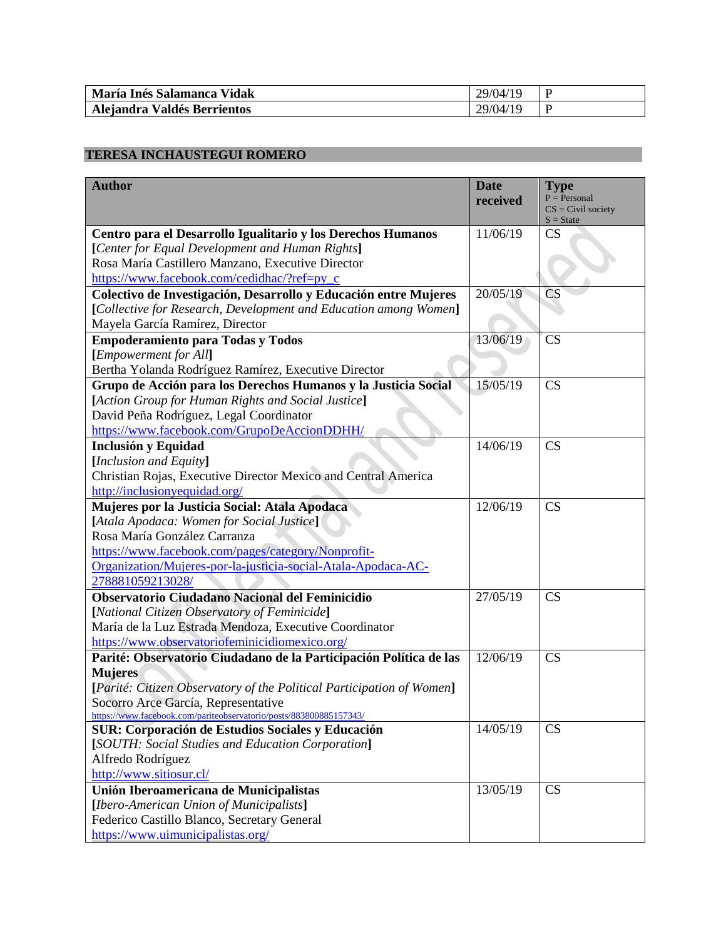| María Inés Salamanca Vidak  | 29/04/19      |  |
|-----------------------------|---------------|--|
| Alejandra Valdés Berrientos | /10<br>29/04/ |  |

## **TERESA INCHAUSTEGUI ROMERO**

| <b>Author</b>                                                         | <b>Date</b> | <b>Type</b>                         |
|-----------------------------------------------------------------------|-------------|-------------------------------------|
|                                                                       | received    | $P = Personal$                      |
|                                                                       |             | $CS = Civil$ society<br>$S = State$ |
| Centro para el Desarrollo Igualitario y los Derechos Humanos          | 11/06/19    | <b>CS</b>                           |
| [Center for Equal Development and Human Rights]                       |             |                                     |
| Rosa María Castillero Manzano, Executive Director                     |             |                                     |
| https://www.facebook.com/cedidhac/?ref=py_c                           |             |                                     |
| Colectivo de Investigación, Desarrollo y Educación entre Mujeres      | 20/05/19    | <b>CS</b>                           |
| [Collective for Research, Development and Education among Women]      |             |                                     |
| Mayela García Ramírez, Director                                       |             |                                     |
| <b>Empoderamiento para Todas y Todos</b>                              | 13/06/19    | CS                                  |
| [Empowerment for All]                                                 |             |                                     |
| Bertha Yolanda Rodríguez Ramírez, Executive Director                  |             |                                     |
| Grupo de Acción para los Derechos Humanos y la Justicia Social        | 15/05/19    | CS                                  |
| [Action Group for Human Rights and Social Justice]                    |             |                                     |
| David Peña Rodríguez, Legal Coordinator                               |             |                                     |
| https://www.facebook.com/GrupoDeAccionDDHH/                           |             |                                     |
| <b>Inclusión y Equidad</b>                                            | 14/06/19    | CS                                  |
| [Inclusion and Equity]                                                |             |                                     |
| Christian Rojas, Executive Director Mexico and Central America        |             |                                     |
| http://inclusionyequidad.org/                                         |             |                                     |
| Mujeres por la Justicia Social: Atala Apodaca                         | 12/06/19    | CS                                  |
| [Atala Apodaca: Women for Social Justice]                             |             |                                     |
| Rosa María González Carranza                                          |             |                                     |
| https://www.facebook.com/pages/category/Nonprofit-                    |             |                                     |
| Organization/Mujeres-por-la-justicia-social-Atala-Apodaca-AC-         |             |                                     |
| 278881059213028/                                                      |             |                                     |
| Observatorio Ciudadano Nacional del Feminicidio                       | 27/05/19    | CS                                  |
| [National Citizen Observatory of Feminicide]                          |             |                                     |
| María de la Luz Estrada Mendoza, Executive Coordinator                |             |                                     |
| https://www.observatoriofeminicidiomexico.org/                        |             |                                     |
| Parité: Observatorio Ciudadano de la Participación Política de las    | 12/06/19    | CS                                  |
| <b>Mujeres</b>                                                        |             |                                     |
| [Parité: Citizen Observatory of the Political Participation of Women] |             |                                     |
| Socorro Arce García, Representative                                   |             |                                     |
| https://www.facebook.com/pariteobservatorio/posts/883800885157343/    |             |                                     |
| <b>SUR: Corporación de Estudios Sociales y Educación</b>              | 14/05/19    | CS                                  |
| [SOUTH: Social Studies and Education Corporation]                     |             |                                     |
| Alfredo Rodríguez                                                     |             |                                     |
| http://www.sitiosur.cl/                                               |             |                                     |
| Unión Iberoamericana de Municipalistas                                | 13/05/19    | CS                                  |
| [Ibero-American Union of Municipalists]                               |             |                                     |
| Federico Castillo Blanco, Secretary General                           |             |                                     |
| https://www.uimunicipalistas.org/                                     |             |                                     |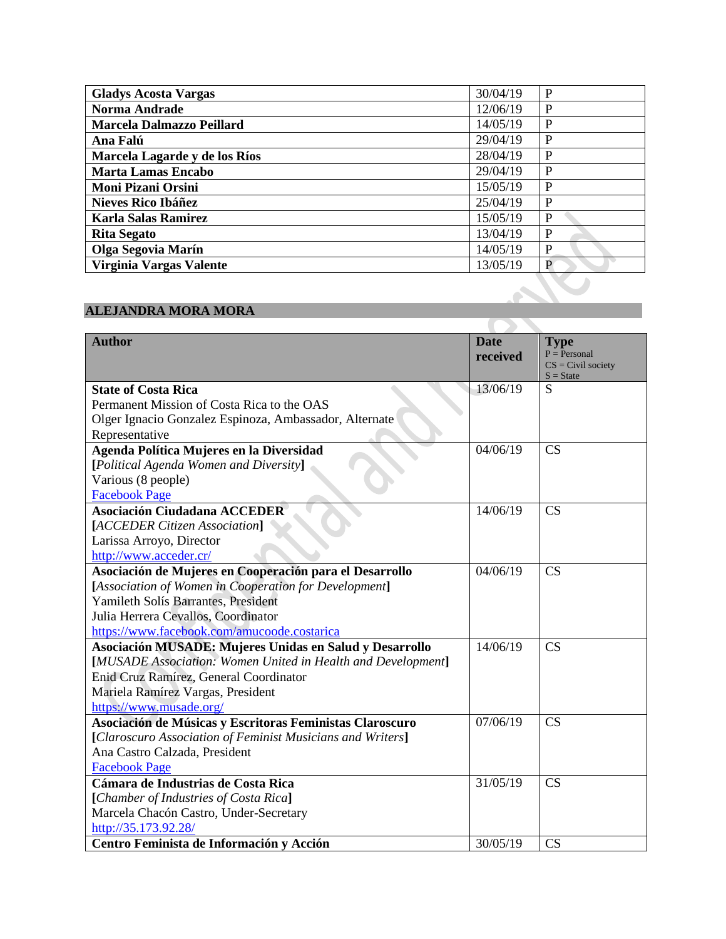| <b>Gladys Acosta Vargas</b>   | 30/04/19 | P |
|-------------------------------|----------|---|
| <b>Norma Andrade</b>          | 12/06/19 | P |
| Marcela Dalmazzo Peillard     | 14/05/19 | P |
| Ana Falú                      | 29/04/19 | P |
| Marcela Lagarde y de los Ríos | 28/04/19 | P |
| <b>Marta Lamas Encabo</b>     | 29/04/19 | P |
| <b>Moni Pizani Orsini</b>     | 15/05/19 | P |
| <b>Nieves Rico Ibáñez</b>     | 25/04/19 | P |
| <b>Karla Salas Ramirez</b>    | 15/05/19 | P |
| <b>Rita Segato</b>            | 13/04/19 | P |
| Olga Segovia Marín            | 14/05/19 | P |
| Virginia Vargas Valente       | 13/05/19 | P |

# **ALEJANDRA MORA MORA**

| <b>Author</b>                                                | <b>Date</b> | <b>Type</b><br>$P = Personal$ |
|--------------------------------------------------------------|-------------|-------------------------------|
|                                                              | received    | $CS = Civil$ society          |
|                                                              |             | $S = State$                   |
| <b>State of Costa Rica</b>                                   | 13/06/19    | S                             |
| Permanent Mission of Costa Rica to the OAS                   |             |                               |
| Olger Ignacio Gonzalez Espinoza, Ambassador, Alternate       |             |                               |
| Representative                                               |             |                               |
| Agenda Política Mujeres en la Diversidad                     | 04/06/19    | <b>CS</b>                     |
| [Political Agenda Women and Diversity]                       |             |                               |
| Various (8 people)                                           |             |                               |
| <b>Facebook Page</b>                                         |             |                               |
| <b>Asociación Ciudadana ACCEDER</b>                          | 14/06/19    | CS                            |
| [ACCEDER Citizen Association]                                |             |                               |
| Larissa Arroyo, Director                                     |             |                               |
| http://www.acceder.cr/                                       |             |                               |
| Asociación de Mujeres en Cooperación para el Desarrollo      | 04/06/19    | <b>CS</b>                     |
| [Association of Women in Cooperation for Development]        |             |                               |
| Yamileth Solís Barrantes, President                          |             |                               |
| Julia Herrera Cevallos, Coordinator                          |             |                               |
| https://www.facebook.com/amucoode.costarica                  |             |                               |
| Asociación MUSADE: Mujeres Unidas en Salud y Desarrollo      | 14/06/19    | CS                            |
| [MUSADE Association: Women United in Health and Development] |             |                               |
| Enid Cruz Ramírez, General Coordinator                       |             |                               |
| Mariela Ramírez Vargas, President                            |             |                               |
| https://www.musade.org/                                      |             |                               |
| Asociación de Músicas y Escritoras Feministas Claroscuro     | 07/06/19    | CS                            |
| [Claroscuro Association of Feminist Musicians and Writers]   |             |                               |
| Ana Castro Calzada, President                                |             |                               |
| <b>Facebook Page</b>                                         |             |                               |
| Cámara de Industrias de Costa Rica                           | 31/05/19    | CS                            |
| [Chamber of Industries of Costa Rica]                        |             |                               |
| Marcela Chacón Castro, Under-Secretary                       |             |                               |
| http://35.173.92.28/                                         |             |                               |
| Centro Feminista de Información y Acción                     | 30/05/19    | <b>CS</b>                     |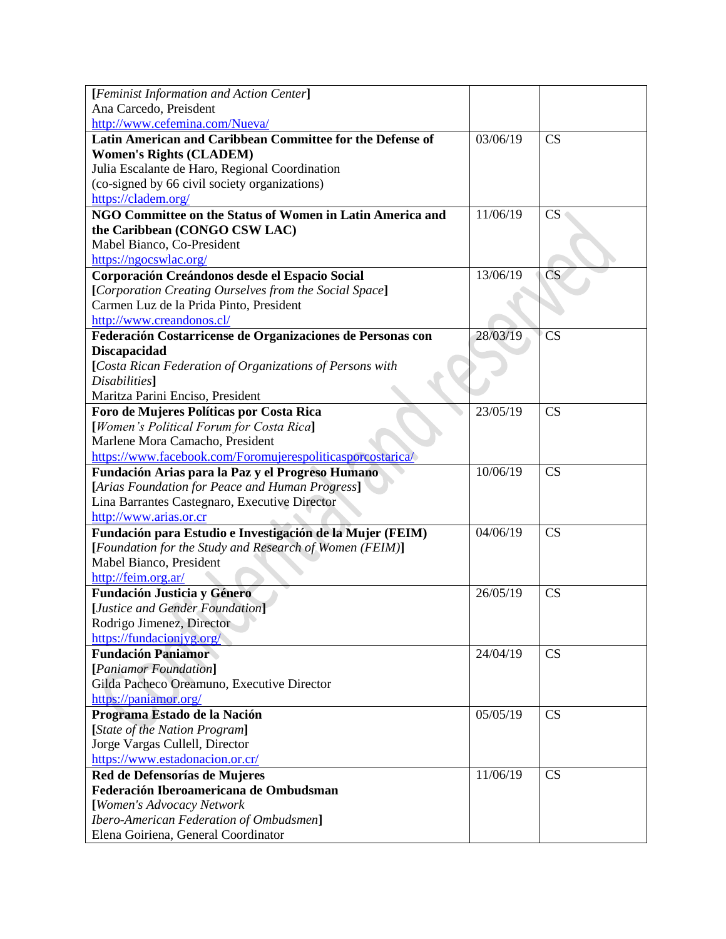| [Feminist Information and Action Center]                   |          |                        |
|------------------------------------------------------------|----------|------------------------|
| Ana Carcedo, Preisdent                                     |          |                        |
| http://www.cefemina.com/Nueva/                             |          |                        |
| Latin American and Caribbean Committee for the Defense of  | 03/06/19 | CS                     |
| <b>Women's Rights (CLADEM)</b>                             |          |                        |
| Julia Escalante de Haro, Regional Coordination             |          |                        |
| (co-signed by 66 civil society organizations)              |          |                        |
| https://cladem.org/                                        |          |                        |
| NGO Committee on the Status of Women in Latin America and  | 11/06/19 | <b>CS</b>              |
| the Caribbean (CONGO CSW LAC)                              |          |                        |
| Mabel Bianco, Co-President                                 |          |                        |
| https://ngocswlac.org/                                     |          |                        |
| Corporación Creándonos desde el Espacio Social             | 13/06/19 | $\overline{\text{CS}}$ |
| [Corporation Creating Ourselves from the Social Space]     |          |                        |
| Carmen Luz de la Prida Pinto, President                    |          |                        |
| http://www.creandonos.cl/                                  |          |                        |
| Federación Costarricense de Organizaciones de Personas con | 28/03/19 | CS                     |
| <b>Discapacidad</b>                                        |          |                        |
| [Costa Rican Federation of Organizations of Persons with   |          |                        |
| Disabilities]                                              |          |                        |
| Maritza Parini Enciso, President                           |          |                        |
| Foro de Mujeres Políticas por Costa Rica                   | 23/05/19 | CS                     |
| [Women's Political Forum for Costa Rica]                   |          |                        |
| Marlene Mora Camacho, President                            |          |                        |
| https://www.facebook.com/Foromujerespoliticasporcostarica/ |          |                        |
|                                                            |          |                        |
| Fundación Arias para la Paz y el Progreso Humano           | 10/06/19 | CS                     |
| [Arias Foundation for Peace and Human Progress]            |          |                        |
| Lina Barrantes Castegnaro, Executive Director              |          |                        |
| http://www.arias.or.cr                                     |          |                        |
| Fundación para Estudio e Investigación de la Mujer (FEIM)  | 04/06/19 | CS                     |
| [Foundation for the Study and Research of Women (FEIM)]    |          |                        |
| Mabel Bianco, President                                    |          |                        |
| http://feim.org.ar/                                        |          |                        |
| Fundación Justicia y Género                                | 26/05/19 | CS                     |
| [Justice and Gender Foundation]                            |          |                        |
| Rodrigo Jimenez, Director                                  |          |                        |
| https://fundacionjyg.org/                                  |          |                        |
| <b>Fundación Paniamor</b>                                  | 24/04/19 | CS                     |
| [Paniamor Foundation]                                      |          |                        |
| Gilda Pacheco Oreamuno, Executive Director                 |          |                        |
| https://paniamor.org/                                      |          |                        |
| Programa Estado de la Nación                               | 05/05/19 | CS                     |
| [State of the Nation Program]                              |          |                        |
| Jorge Vargas Cullell, Director                             |          |                        |
| https://www.estadonacion.or.cr/                            |          |                        |
| Red de Defensorías de Mujeres                              | 11/06/19 | CS                     |
| Federación Iberoamericana de Ombudsman                     |          |                        |
| [Women's Advocacy Network                                  |          |                        |
| <b>Ibero-American Federation of Ombudsmen]</b>             |          |                        |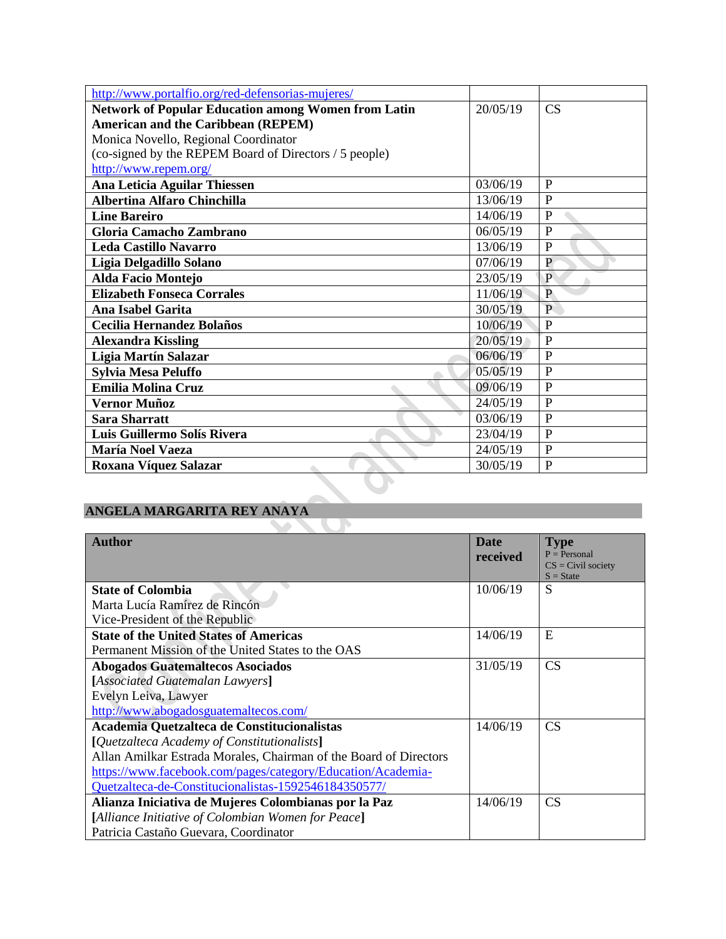| http://www.portalfio.org/red-defensorias-mujeres/          |          |                |
|------------------------------------------------------------|----------|----------------|
| <b>Network of Popular Education among Women from Latin</b> | 20/05/19 | CS             |
| <b>American and the Caribbean (REPEM)</b>                  |          |                |
| Monica Novello, Regional Coordinator                       |          |                |
| (co-signed by the REPEM Board of Directors / 5 people)     |          |                |
| http://www.repem.org/                                      |          |                |
| Ana Leticia Aguilar Thiessen                               | 03/06/19 | P              |
| <b>Albertina Alfaro Chinchilla</b>                         | 13/06/19 | $\overline{P}$ |
| <b>Line Bareiro</b>                                        | 14/06/19 | $\overline{P}$ |
| Gloria Camacho Zambrano                                    | 06/05/19 | P              |
| <b>Leda Castillo Navarro</b>                               | 13/06/19 | $\mathbf{P}$   |
| Ligia Delgadillo Solano                                    | 07/06/19 | $\overline{P}$ |
| Alda Facio Montejo                                         | 23/05/19 | $\mathbf{P}$   |
| <b>Elizabeth Fonseca Corrales</b>                          | 11/06/19 | $\overline{P}$ |
| <b>Ana Isabel Garita</b>                                   | 30/05/19 | $\mathbf{P}$   |
| Cecilia Hernandez Bolaños                                  | 10/06/19 | P              |
| <b>Alexandra Kissling</b>                                  | 20/05/19 | P              |
| Ligia Martín Salazar                                       | 06/06/19 | P              |
| <b>Sylvia Mesa Peluffo</b>                                 | 05/05/19 | $\mathbf{P}$   |
| <b>Emilia Molina Cruz</b>                                  | 09/06/19 | $\mathbf{P}$   |
| Vernor Muñoz                                               | 24/05/19 | $\overline{P}$ |
| <b>Sara Sharratt</b>                                       | 03/06/19 | $\mathbf{P}$   |
| Luis Guillermo Solís Rivera                                | 23/04/19 | $\mathbf{P}$   |
| <b>María Noel Vaeza</b>                                    | 24/05/19 | P              |
| Roxana Víquez Salazar                                      | 30/05/19 | $\mathbf{P}$   |
|                                                            |          |                |

#### **ANGELA MARGARITA REY ANAYA**  $\sim$

| <b>Author</b>                                                     | <b>Date</b> | <b>Type</b>          |
|-------------------------------------------------------------------|-------------|----------------------|
|                                                                   | received    | $P = Personal$       |
|                                                                   |             | $CS = Civil$ society |
|                                                                   |             | $S = State$          |
| <b>State of Colombia</b>                                          | 10/06/19    | S                    |
| Marta Lucía Ramírez de Rincón                                     |             |                      |
| Vice-President of the Republic                                    |             |                      |
| <b>State of the United States of Americas</b>                     | 14/06/19    | E                    |
| Permanent Mission of the United States to the OAS                 |             |                      |
| <b>Abogados Guatemaltecos Asociados</b>                           | 31/05/19    | <b>CS</b>            |
| [Associated Guatemalan Lawyers]                                   |             |                      |
| Evelyn Leiva, Lawyer                                              |             |                      |
| http://www.abogadosguatemaltecos.com/                             |             |                      |
| Academia Quetzalteca de Constitucionalistas                       | 14/06/19    | <b>CS</b>            |
| [Quetzalteca Academy of Constitutionalists]                       |             |                      |
| Allan Amilkar Estrada Morales, Chairman of the Board of Directors |             |                      |
| https://www.facebook.com/pages/category/Education/Academia-       |             |                      |
| Quetzalteca-de-Constitucionalistas-1592546184350577/              |             |                      |
| Alianza Iniciativa de Mujeres Colombianas por la Paz              | 14/06/19    | <b>CS</b>            |
| [Alliance Initiative of Colombian Women for Peace]                |             |                      |
| Patricia Castaño Guevara, Coordinator                             |             |                      |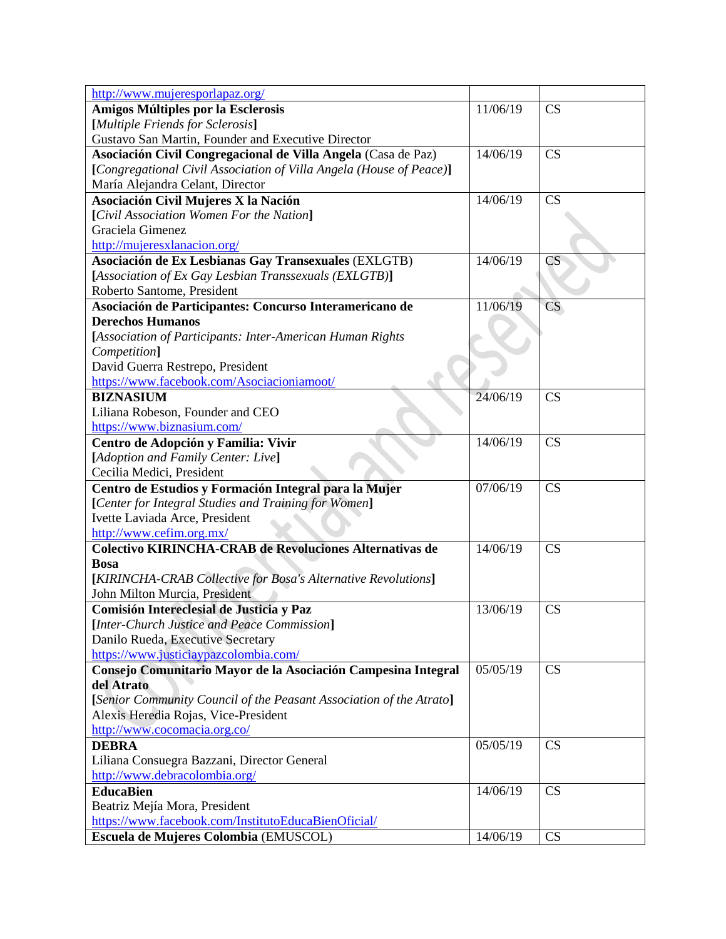| http://www.mujeresporlapaz.org/                                     |          |                        |
|---------------------------------------------------------------------|----------|------------------------|
| <b>Amigos Múltiples por la Esclerosis</b>                           | 11/06/19 | <b>CS</b>              |
| [Multiple Friends for Sclerosis]                                    |          |                        |
| Gustavo San Martin, Founder and Executive Director                  |          |                        |
| Asociación Civil Congregacional de Villa Angela (Casa de Paz)       | 14/06/19 | CS                     |
| [Congregational Civil Association of Villa Angela (House of Peace)] |          |                        |
| María Alejandra Celant, Director                                    |          |                        |
| Asociación Civil Mujeres X la Nación                                | 14/06/19 | <b>CS</b>              |
| [Civil Association Women For the Nation]                            |          |                        |
| Graciela Gimenez                                                    |          |                        |
| http://mujeresxlanacion.org/                                        |          |                        |
| Asociación de Ex Lesbianas Gay Transexuales (EXLGTB)                | 14/06/19 | $\overline{\text{CS}}$ |
| [Association of Ex Gay Lesbian Transsexuals (EXLGTB)]               |          |                        |
| Roberto Santome, President                                          |          |                        |
| Asociación de Participantes: Concurso Interamericano de             | 11/06/19 | CS                     |
| <b>Derechos Humanos</b>                                             |          |                        |
| [Association of Participants: Inter-American Human Rights           |          |                        |
| Competition]                                                        |          |                        |
| David Guerra Restrepo, President                                    |          |                        |
| https://www.facebook.com/Asociacioniamoot/                          |          |                        |
| <b>BIZNASIUM</b>                                                    | 24/06/19 | CS                     |
| Liliana Robeson, Founder and CEO                                    |          |                        |
| https://www.biznasium.com/                                          |          |                        |
| Centro de Adopción y Familia: Vivir                                 | 14/06/19 | CS                     |
| [Adoption and Family Center: Live]                                  |          |                        |
| Cecilia Medici, President                                           |          |                        |
| Centro de Estudios y Formación Integral para la Mujer               | 07/06/19 | CS                     |
| [Center for Integral Studies and Training for Women]                |          |                        |
| Ivette Laviada Arce, President                                      |          |                        |
| http://www.cefim.org.mx/                                            |          |                        |
| Colectivo KIRINCHA-CRAB de Revoluciones Alternativas de             | 14/06/19 | CS                     |
| <b>Bosa</b>                                                         |          |                        |
| [KIRINCHA-CRAB Collective for Bosa's Alternative Revolutions]       |          |                        |
| John Milton Murcia, President                                       |          |                        |
| Comisión Intereclesial de Justicia y Paz                            | 13/06/19 | CS                     |
| [Inter-Church Justice and Peace Commission]                         |          |                        |
| Danilo Rueda, Executive Secretary                                   |          |                        |
| https://www.justiciaypazcolombia.com/                               |          |                        |
| Consejo Comunitario Mayor de la Asociación Campesina Integral       | 05/05/19 | <b>CS</b>              |
| del Atrato                                                          |          |                        |
| [Senior Community Council of the Peasant Association of the Atrato] |          |                        |
| Alexis Heredia Rojas, Vice-President                                |          |                        |
| http://www.cocomacia.org.co/                                        |          |                        |
| <b>DEBRA</b>                                                        | 05/05/19 | CS                     |
| Liliana Consuegra Bazzani, Director General                         |          |                        |
| http://www.debracolombia.org/                                       |          |                        |
| <b>EducaBien</b>                                                    | 14/06/19 | CS                     |
| Beatriz Mejía Mora, President                                       |          |                        |
| https://www.facebook.com/InstitutoEducaBienOficial/                 |          |                        |
| Escuela de Mujeres Colombia (EMUSCOL)                               | 14/06/19 | <b>CS</b>              |
|                                                                     |          |                        |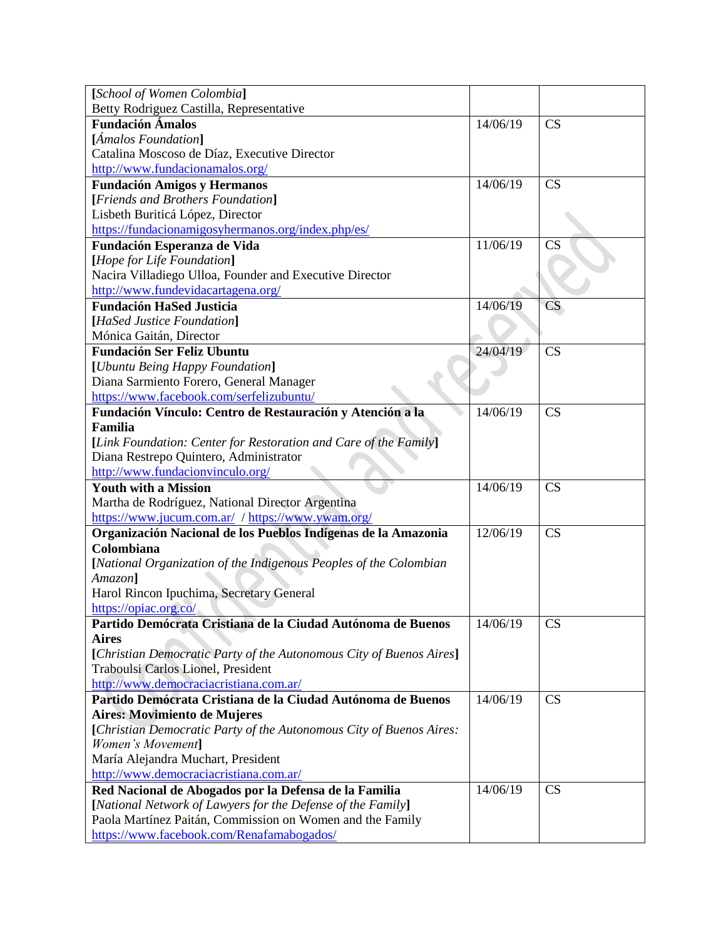| [School of Women Colombia]                                          |          |           |
|---------------------------------------------------------------------|----------|-----------|
| Betty Rodriguez Castilla, Representative                            |          |           |
| <b>Fundación Ámalos</b>                                             | 14/06/19 | CS        |
| [Ámalos Foundation]                                                 |          |           |
| Catalina Moscoso de Díaz, Executive Director                        |          |           |
| http://www.fundacionamalos.org/                                     |          |           |
| <b>Fundación Amigos y Hermanos</b>                                  | 14/06/19 | CS        |
| [Friends and Brothers Foundation]                                   |          |           |
| Lisbeth Buriticá López, Director                                    |          |           |
| https://fundacionamigosyhermanos.org/index.php/es/                  |          |           |
| Fundación Esperanza de Vida                                         | 11/06/19 | CS        |
| [Hope for Life Foundation]                                          |          |           |
| Nacira Villadiego Ulloa, Founder and Executive Director             |          |           |
| http://www.fundevidacartagena.org/                                  |          |           |
| <b>Fundación HaSed Justicia</b>                                     | 14/06/19 | CS        |
| [HaSed Justice Foundation]                                          |          |           |
| Mónica Gaitán, Director                                             |          |           |
| <b>Fundación Ser Feliz Ubuntu</b>                                   | 24/04/19 | CS        |
| [Ubuntu Being Happy Foundation]                                     |          |           |
| Diana Sarmiento Forero, General Manager                             |          |           |
| https://www.facebook.com/serfelizubuntu/                            |          |           |
| Fundación Vínculo: Centro de Restauración y Atención a la           | 14/06/19 | CS        |
| Familia                                                             |          |           |
| [Link Foundation: Center for Restoration and Care of the Family]    |          |           |
| Diana Restrepo Quintero, Administrator                              |          |           |
| http://www.fundacionvinculo.org/                                    |          |           |
| <b>Youth with a Mission</b>                                         | 14/06/19 | CS        |
| Martha de Rodríguez, National Director Argentina                    |          |           |
| https://www.jucum.com.ar/ / https://www.ywam.org/                   |          |           |
| Organización Nacional de los Pueblos Indígenas de la Amazonia       | 12/06/19 | CS        |
| Colombiana                                                          |          |           |
| [National Organization of the Indigenous Peoples of the Colombian   |          |           |
| Amazon]                                                             |          |           |
| Harol Rincon Ipuchima, Secretary General                            |          |           |
| https://opiac.org.co/                                               |          |           |
| Partido Demócrata Cristiana de la Ciudad Autónoma de Buenos         | 14/06/19 | <b>CS</b> |
| <b>Aires</b>                                                        |          |           |
| [Christian Democratic Party of the Autonomous City of Buenos Aires] |          |           |
| Traboulsi Carlos Lionel, President                                  |          |           |
| http://www.democraciacristiana.com.ar/                              |          |           |
| Partido Demócrata Cristiana de la Ciudad Autónoma de Buenos         | 14/06/19 | CS        |
| Aires: Movimiento de Mujeres                                        |          |           |
| [Christian Democratic Party of the Autonomous City of Buenos Aires: |          |           |
| Women's Movement]                                                   |          |           |
| María Alejandra Muchart, President                                  |          |           |
| http://www.democraciacristiana.com.ar/                              |          |           |
| Red Nacional de Abogados por la Defensa de la Familia               | 14/06/19 | CS        |
| [National Network of Lawyers for the Defense of the Family]         |          |           |
| Paola Martínez Paitán, Commission on Women and the Family           |          |           |
| https://www.facebook.com/Renafamabogados/                           |          |           |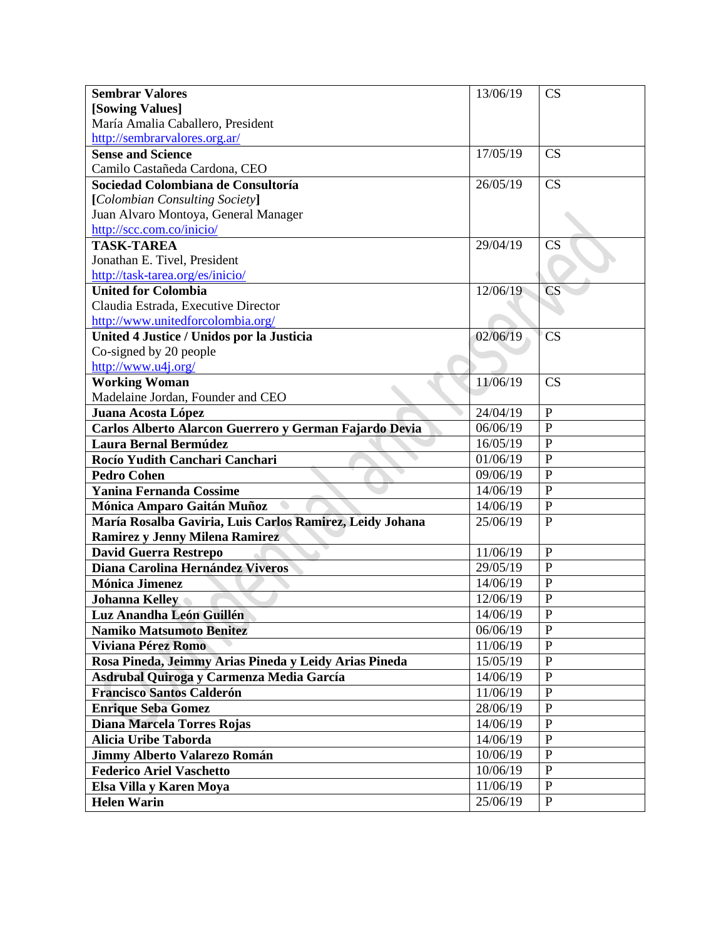| <b>Sembrar Valores</b>                                   | 13/06/19 | CS                |
|----------------------------------------------------------|----------|-------------------|
| [Sowing Values]                                          |          |                   |
| María Amalia Caballero, President                        |          |                   |
| http://sembrarvalores.org.ar/                            |          |                   |
| <b>Sense and Science</b>                                 | 17/05/19 | CS                |
| Camilo Castañeda Cardona, CEO                            |          |                   |
| Sociedad Colombiana de Consultoría                       | 26/05/19 | CS                |
| [Colombian Consulting Society]                           |          |                   |
| Juan Alvaro Montoya, General Manager                     |          |                   |
| http://scc.com.co/inicio/                                |          |                   |
| <b>TASK-TAREA</b>                                        | 29/04/19 | CS                |
| Jonathan E. Tivel, President                             |          |                   |
| http://task-tarea.org/es/inicio/                         |          |                   |
| <b>United for Colombia</b>                               | 12/06/19 | <b>CS</b>         |
| Claudia Estrada, Executive Director                      |          |                   |
| http://www.unitedforcolombia.org/                        |          |                   |
| United 4 Justice / Unidos por la Justicia                | 02/06/19 | <b>CS</b>         |
| Co-signed by 20 people                                   |          |                   |
| http://www.u4j.org/                                      |          |                   |
| <b>Working Woman</b>                                     | 11/06/19 | CS                |
| Madelaine Jordan, Founder and CEO                        |          |                   |
| Juana Acosta López                                       | 24/04/19 | $\mathbf{P}$      |
| Carlos Alberto Alarcon Guerrero y German Fajardo Devia   | 06/06/19 | $\mathbf{P}$      |
| <b>Laura Bernal Bermúdez</b>                             | 16/05/19 | $\mathbf{P}$      |
| Rocío Yudith Canchari Canchari                           | 01/06/19 | $\mathbf{P}$      |
| <b>Pedro Cohen</b>                                       | 09/06/19 | $\overline{P}$    |
| <b>Yanina Fernanda Cossime</b>                           | 14/06/19 | $\overline{P}$    |
| Mónica Amparo Gaitán Muñoz                               | 14/06/19 | $\mathbf{P}$      |
| María Rosalba Gaviria, Luis Carlos Ramirez, Leidy Johana | 25/06/19 | $\mathbf{P}$      |
| Ramirez y Jenny Milena Ramirez                           |          |                   |
| <b>David Guerra Restrepo</b>                             | 11/06/19 | $\mathbf{P}$      |
| Diana Carolina Hernández Viveros                         | 29/05/19 | $\mathbf{P}$      |
| <b>Mónica Jimenez</b>                                    | 14/06/19 | $\mathbf{P}$      |
| <b>Johanna Kelley</b>                                    | 12/06/19 | $\mathbf P$       |
| Luz Anandha León Guillén                                 | 14/06/19 | P<br>$\mathbf{r}$ |
| <b>Namiko Matsumoto Benitez</b>                          | 06/06/19 | $\mathbf{P}$      |
| <b>Viviana Pérez Romo</b>                                | 11/06/19 | $\mathbf{P}$      |
| Rosa Pineda, Jeimmy Arias Pineda y Leidy Arias Pineda    | 15/05/19 | ${\bf P}$         |
| Asdrubal Quiroga y Carmenza Media García                 | 14/06/19 | $\mathbf{P}$      |
| <b>Francisco Santos Calderón</b>                         | 11/06/19 | ${\bf P}$         |
| <b>Enrique Seba Gomez</b>                                | 28/06/19 | $\mathbf{P}$      |
| Diana Marcela Torres Rojas                               | 14/06/19 | $\mathbf{P}$      |
| Alicia Uribe Taborda                                     | 14/06/19 | ${\bf P}$         |
| <b>Jimmy Alberto Valarezo Román</b>                      | 10/06/19 | P                 |
| <b>Federico Ariel Vaschetto</b>                          | 10/06/19 | $\mathbf{P}$      |
| Elsa Villa y Karen Moya                                  | 11/06/19 | $\, {\bf P}$      |
| <b>Helen Warin</b>                                       | 25/06/19 | $\mathbf{P}$      |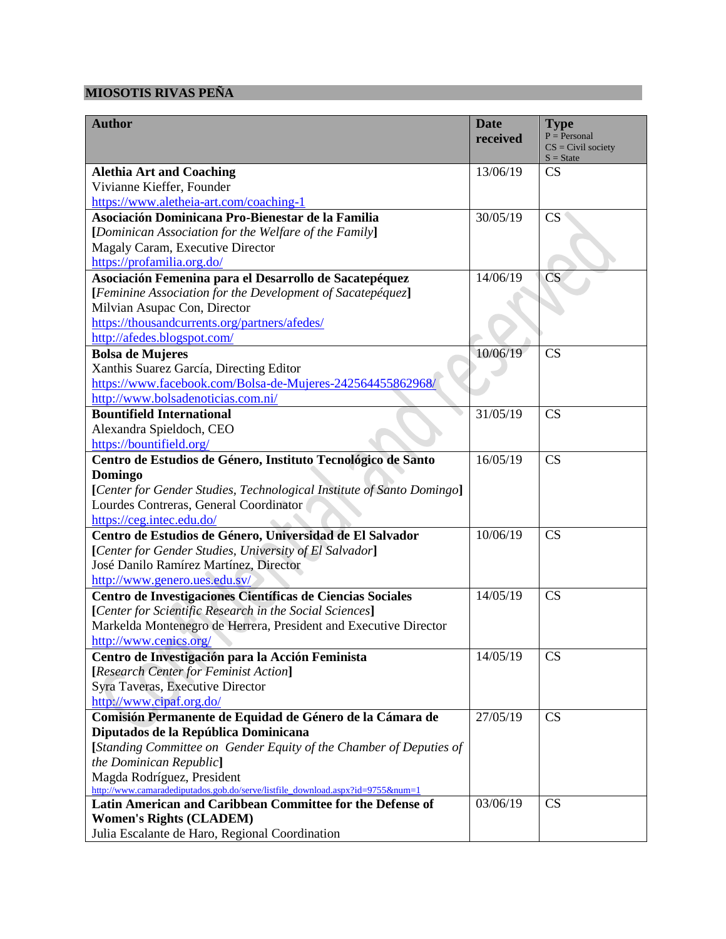## **MIOSOTIS RIVAS PEÑA**

| <b>Author</b>                                                                                              | <b>Date</b> | <b>Type</b>            |
|------------------------------------------------------------------------------------------------------------|-------------|------------------------|
|                                                                                                            | received    | $P = Personal$         |
|                                                                                                            |             | $CS = Civil$ society   |
| <b>Alethia Art and Coaching</b>                                                                            | 13/06/19    | $S = State$<br>CS      |
| Vivianne Kieffer, Founder                                                                                  |             |                        |
| https://www.aletheia-art.com/coaching-1                                                                    |             |                        |
| Asociación Dominicana Pro-Bienestar de la Familia                                                          | 30/05/19    | CS                     |
| [Dominican Association for the Welfare of the Family]                                                      |             |                        |
| Magaly Caram, Executive Director                                                                           |             |                        |
| https://profamilia.org.do/                                                                                 |             |                        |
| Asociación Femenina para el Desarrollo de Sacatepéquez                                                     | 14/06/19    | $\overline{\text{CS}}$ |
| [Feminine Association for the Development of Sacatepéquez]                                                 |             |                        |
| Milvian Asupac Con, Director                                                                               |             |                        |
| https://thousandcurrents.org/partners/afedes/                                                              |             |                        |
| http://afedes.blogspot.com/                                                                                |             |                        |
| <b>Bolsa de Mujeres</b>                                                                                    | 10/06/19    | CS                     |
| Xanthis Suarez García, Directing Editor                                                                    |             |                        |
| https://www.facebook.com/Bolsa-de-Mujeres-242564455862968/                                                 |             |                        |
| http://www.bolsadenoticias.com.ni/                                                                         |             |                        |
| <b>Bountifield International</b>                                                                           | 31/05/19    | CS                     |
| Alexandra Spieldoch, CEO                                                                                   |             |                        |
| https://bountifield.org/                                                                                   |             |                        |
| Centro de Estudios de Género, Instituto Tecnológico de Santo                                               | 16/05/19    | CS                     |
| Domingo                                                                                                    |             |                        |
| [Center for Gender Studies, Technological Institute of Santo Domingo]                                      |             |                        |
| Lourdes Contreras, General Coordinator                                                                     |             |                        |
| https://ceg.intec.edu.do/                                                                                  |             |                        |
| Centro de Estudios de Género, Universidad de El Salvador                                                   | 10/06/19    | CS                     |
| [Center for Gender Studies, University of El Salvador]                                                     |             |                        |
| José Danilo Ramírez Martínez, Director                                                                     |             |                        |
| http://www.genero.ues.edu.sv/                                                                              |             |                        |
| Centro de Investigaciones Científicas de Ciencias Sociales                                                 | 14/05/19    | <b>CS</b>              |
| [Center for Scientific Research in the Social Sciences]                                                    |             |                        |
| Markelda Montenegro de Herrera, President and Executive Director                                           |             |                        |
| http://www.cenics.org/                                                                                     |             |                        |
| Centro de Investigación para la Acción Feminista                                                           | 14/05/19    | CS                     |
|                                                                                                            |             |                        |
| [Research Center for Feminist Action]<br>Syra Taveras, Executive Director                                  |             |                        |
| http://www.cipaf.org.do/                                                                                   |             |                        |
|                                                                                                            | 27/05/19    | <b>CS</b>              |
| Comisión Permanente de Equidad de Género de la Cámara de                                                   |             |                        |
| Diputados de la República Dominicana<br>[Standing Committee on Gender Equity of the Chamber of Deputies of |             |                        |
| the Dominican Republic]                                                                                    |             |                        |
|                                                                                                            |             |                        |
| Magda Rodríguez, President<br>http://www.camaradediputados.gob.do/serve/listfile_download.aspx?id=9755#=1  |             |                        |
| Latin American and Caribbean Committee for the Defense of                                                  | 03/06/19    | <b>CS</b>              |
| <b>Women's Rights (CLADEM)</b>                                                                             |             |                        |
| Julia Escalante de Haro, Regional Coordination                                                             |             |                        |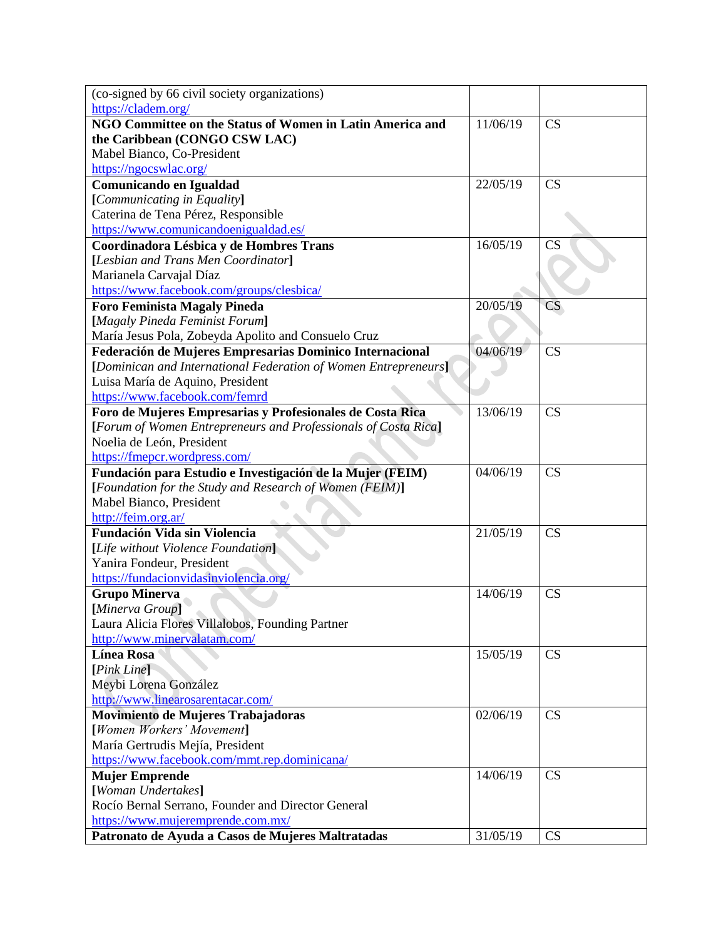| (co-signed by 66 civil society organizations)                   |          |           |
|-----------------------------------------------------------------|----------|-----------|
| https://cladem.org/                                             |          |           |
| NGO Committee on the Status of Women in Latin America and       | 11/06/19 | CS        |
| the Caribbean (CONGO CSW LAC)                                   |          |           |
| Mabel Bianco, Co-President                                      |          |           |
| https://ngocswlac.org/                                          |          |           |
| Comunicando en Igualdad                                         | 22/05/19 | CS        |
| [Communicating in Equality]                                     |          |           |
| Caterina de Tena Pérez, Responsible                             |          |           |
| https://www.comunicandoenigualdad.es/                           |          |           |
| Coordinadora Lésbica y de Hombres Trans                         | 16/05/19 | <b>CS</b> |
| [Lesbian and Trans Men Coordinator]                             |          |           |
| Marianela Carvajal Díaz                                         |          |           |
| https://www.facebook.com/groups/clesbica/                       |          |           |
| <b>Foro Feminista Magaly Pineda</b>                             | 20/05/19 | <b>CS</b> |
| [Magaly Pineda Feminist Forum]                                  |          |           |
| María Jesus Pola, Zobeyda Apolito and Consuelo Cruz             |          |           |
| Federación de Mujeres Empresarias Dominico Internacional        | 04/06/19 | CS        |
| [Dominican and International Federation of Women Entrepreneurs] |          |           |
| Luisa María de Aquino, President                                |          |           |
| https://www.facebook.com/femrd                                  |          |           |
| Foro de Mujeres Empresarias y Profesionales de Costa Rica       | 13/06/19 | CS        |
| [Forum of Women Entrepreneurs and Professionals of Costa Rica]  |          |           |
| Noelia de León, President                                       |          |           |
| https://fmepcr.wordpress.com/                                   |          |           |
| Fundación para Estudio e Investigación de la Mujer (FEIM)       | 04/06/19 | CS        |
| [Foundation for the Study and Research of Women (FEIM)]         |          |           |
| Mabel Bianco, President                                         |          |           |
| http://feim.org.ar/                                             |          |           |
| <b>Fundación Vida sin Violencia</b>                             | 21/05/19 | CS        |
| [Life without Violence Foundation]                              |          |           |
| Yanira Fondeur, President                                       |          |           |
| https://fundacionvidasinviolencia.org/                          |          |           |
| <b>Grupo Minerva</b>                                            | 14/06/19 | <b>CS</b> |
| [Minerva Group]                                                 |          |           |
| Laura Alicia Flores Villalobos, Founding Partner                |          |           |
| http://www.minervalatam.com/                                    |          |           |
| <b>Línea Rosa</b>                                               | 15/05/19 | CS        |
| [Pink Line]                                                     |          |           |
| Meybi Lorena González                                           |          |           |
| http://www.linearosarentacar.com/                               |          |           |
| Movimiento de Mujeres Trabajadoras                              | 02/06/19 | CS        |
| [Women Workers' Movement]                                       |          |           |
| María Gertrudis Mejía, President                                |          |           |
| https://www.facebook.com/mmt.rep.dominicana/                    |          |           |
| <b>Mujer Emprende</b>                                           | 14/06/19 | CS        |
| [Woman Undertakes]                                              |          |           |
| Rocío Bernal Serrano, Founder and Director General              |          |           |
| https://www.mujeremprende.com.mx/                               |          |           |
| Patronato de Ayuda a Casos de Mujeres Maltratadas               | 31/05/19 | CS        |